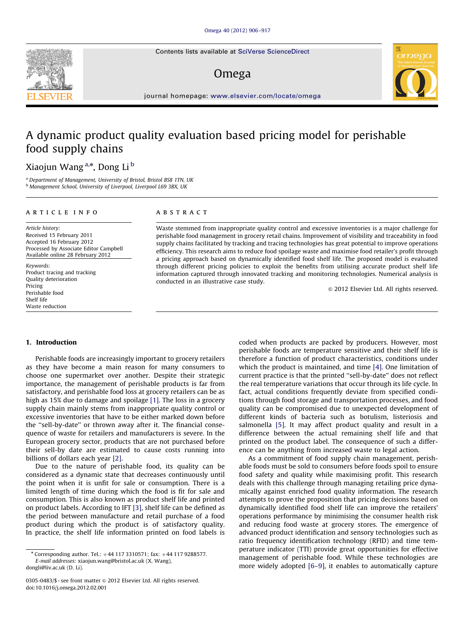Contents lists available at [SciVerse ScienceDirect](www.elsevier.com/locate/omega)

## Omega



journal homepage: <www.elsevier.com/locate/omega>

# A dynamic product quality evaluation based pricing model for perishable food supply chains

### Xiaojun Wang<sup>a,</sup>\*, Dong Li <sup>b</sup>

<sup>a</sup> Department of Management, University of Bristol, Bristol BS8 1TN, UK b Management School, University of Liverpool, Liverpool L69 3BX, UK

#### article info

Article history: Received 15 February 2011 Accepted 16 February 2012 Processed by Associate Editor Campbell Available online 28 February 2012

Keywords: Product tracing and tracking Quality deterioration Pricing Perishable food Shelf life Waste reduction

#### **ABSTRACT**

Waste stemmed from inappropriate quality control and excessive inventories is a major challenge for perishable food management in grocery retail chains. Improvement of visibility and traceability in food supply chains facilitated by tracking and tracing technologies has great potential to improve operations efficiency. This research aims to reduce food spoilage waste and maximise food retailer's profit through a pricing approach based on dynamically identified food shelf life. The proposed model is evaluated through different pricing policies to exploit the benefits from utilising accurate product shelf life information captured through innovated tracking and monitoring technologies. Numerical analysis is conducted in an illustrative case study.

 $\odot$  2012 Elsevier Ltd. All rights reserved.

#### 1. Introduction

Perishable foods are increasingly important to grocery retailers as they have become a main reason for many consumers to choose one supermarket over another. Despite their strategic importance, the management of perishable products is far from satisfactory, and perishable food loss at grocery retailers can be as high as 15% due to damage and spoilage [\[1\].](#page--1-0) The loss in a grocery supply chain mainly stems from inappropriate quality control or excessive inventories that have to be either marked down before the ''sell-by-date'' or thrown away after it. The financial consequence of waste for retailers and manufacturers is severe. In the European grocery sector, products that are not purchased before their sell-by date are estimated to cause costs running into billions of dollars each year [\[2\]](#page--1-0).

Due to the nature of perishable food, its quality can be considered as a dynamic state that decreases continuously until the point when it is unfit for sale or consumption. There is a limited length of time during which the food is fit for sale and consumption. This is also known as product shelf life and printed on product labels. According to IFT [\[3\],](#page--1-0) shelf life can be defined as the period between manufacture and retail purchase of a food product during which the product is of satisfactory quality. In practice, the shelf life information printed on food labels is

[dongli@liv.ac.uk \(D. Li\)](mailto:dongli@liv.ac.uk).

coded when products are packed by producers. However, most perishable foods are temperature sensitive and their shelf life is therefore a function of product characteristics, conditions under which the product is maintained, and time [\[4\].](#page--1-0) One limitation of current practice is that the printed ''sell-by-date'' does not reflect the real temperature variations that occur through its life cycle. In fact, actual conditions frequently deviate from specified conditions through food storage and transportation processes, and food quality can be compromised due to unexpected development of different kinds of bacteria such as botulism, listeriosis and salmonella [\[5\].](#page--1-0) It may affect product quality and result in a difference between the actual remaining shelf life and that printed on the product label. The consequence of such a difference can be anything from increased waste to legal action.

As a commitment of food supply chain management, perishable foods must be sold to consumers before foods spoil to ensure food safety and quality while maximising profit. This research deals with this challenge through managing retailing price dynamically against enriched food quality information. The research attempts to prove the proposition that pricing decisions based on dynamically identified food shelf life can improve the retailers' operations performance by minimising the consumer health risk and reducing food waste at grocery stores. The emergence of advanced product identification and sensory technologies such as ratio frequency identification technology (RFID) and time temperature indicator (TTI) provide great opportunities for effective management of perishable food. While these technologies are more widely adopted [\[6–9\]](#page--1-0), it enables to automatically capture

 $*$  Corresponding author. Tel.:  $+44$  117 3310571; fax:  $+44$  117 9288577. E-mail addresses: [xiaojun.wang@bristol.ac.uk \(X. Wang\)](mailto:xiaojun.wang@bristol.ac.uk),

<sup>0305-0483/\$ -</sup> see front matter  $\odot$  2012 Elsevier Ltd. All rights reserved. doi:[10.1016/j.omega.2012.02.001](dx.doi.org/10.1016/j.omega.2012.02.001)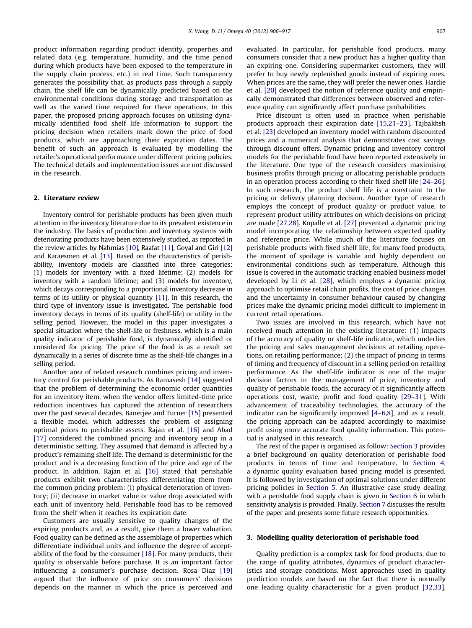product information regarding product identity, properties and related data (e.g. temperature, humidity, and the time period during which products have been exposed to the temperature in the supply chain process, etc.) in real time. Such transparency generates the possibility that, as products pass through a supply chain, the shelf life can be dynamically predicted based on the environmental conditions during storage and transportation as well as the varied time required for these operations. In this paper, the proposed pricing approach focuses on utilising dynamically identified food shelf life information to support the pricing decision when retailers mark down the price of food products, which are approaching their expiration dates. The benefit of such an approach is evaluated by modelling the retailer's operational performance under different pricing policies. The technical details and implementation issues are not discussed in the research.

#### 2. Literature review

Inventory control for perishable products has been given much attention in the inventory literature due to its prevalent existence in the industry. The basics of production and inventory systems with deteriorating products have been extensively studied, as reported in the review articles by Nahmias [\[10\]](#page--1-0), Raafat [\[11\],](#page--1-0) Goyal and Giri [\[12\]](#page--1-0) and Karaesmen et al. [\[13\].](#page--1-0) Based on the characteristics of perishability, inventory models are classified into three categories: (1) models for inventory with a fixed lifetime; (2) models for inventory with a random lifetime; and (3) models for inventory, which decays corresponding to a proportional inventory decrease in terms of its utility or physical quantity [\[11\]](#page--1-0). In this research, the third type of inventory issue is investigated. The perishable food inventory decays in terms of its quality (shelf-life) or utility in the selling period. However, the model in this paper investigates a special situation where the shelf-life or freshness, which is a main quality indicator of perishable food, is dynamically identified or considered for pricing. The price of the food is as a result set dynamically in a series of discrete time as the shelf-life changes in a selling period.

Another area of related research combines pricing and inventory control for perishable products. As Ramasesh [\[14\]](#page--1-0) suggested that the problem of determining the economic order quantities for an inventory item, when the vendor offers limited-time price reduction incentives has captured the attention of researchers over the past several decades. Banerjee and Turner [\[15\]](#page--1-0) presented a flexible model, which addresses the problem of assigning optimal prices to perishable assets. Rajan et al. [\[16\]](#page--1-0) and Abad [\[17\]](#page--1-0) considered the combined pricing and inventory setup in a deterministic setting. They assumed that demand is affected by a product's remaining shelf life. The demand is deterministic for the product and is a decreasing function of the price and age of the product. In addition, Rajan et al. [\[16\]](#page--1-0) stated that perishable products exhibit two characteristics differentiating them from the common pricing problem: (i) physical deterioration of inventory; (ii) decrease in market value or value drop associated with each unit of inventory held. Perishable food has to be removed from the shelf when it reaches its expiration date.

Customers are usually sensitive to quality changes of the expiring products and, as a result, give them a lower valuation. Food quality can be defined as the assemblage of properties which differentiate individual units and influence the degree of acceptability of the food by the consumer [\[18\].](#page--1-0) For many products, their quality is observable before purchase. It is an important factor influencing a consumer's purchase decision. Rosa Diaz [\[19\]](#page--1-0) argued that the influence of price on consumers' decisions depends on the manner in which the price is perceived and evaluated. In particular, for perishable food products, many consumers consider that a new product has a higher quality than an expiring one. Considering supermarket customers, they will prefer to buy newly replenished goods instead of expiring ones. When prices are the same, they will prefer the newer ones. Hardie et al. [\[20\]](#page--1-0) developed the notion of reference quality and empirically demonstrated that differences between observed and reference quality can significantly affect purchase probabilities.

Price discount is often used in practice when perishable products approach their expiration date [\[15,21–23](#page--1-0)]. Tajbakhsh et al. [\[23\]](#page--1-0) developed an inventory model with random discounted prices and a numerical analysis that demonstrates cost savings through discount offers. Dynamic pricing and inventory control models for the perishable food have been reported extensively in the literature. One type of the research considers maximising business profits through pricing or allocating perishable products in an operation process according to their fixed shelf life [\[24](#page--1-0)–[26\]](#page--1-0). In such research, the product shelf life is a constraint to the pricing or delivery planning decision. Another type of research employs the concept of product quality or product value, to represent product utility attributes on which decisions on pricing are made [\[27,28](#page--1-0)]. Kopalle et al. [\[27\]](#page--1-0) presented a dynamic pricing model incorporating the relationship between expected quality and reference price. While much of the literature focuses on perishable products with fixed shelf life, for many food products, the moment of spoilage is variable and highly dependent on environmental conditions such as temperature. Although this issue is covered in the automatic tracking enabled business model developed by Li et al. [\[28\],](#page--1-0) which employs a dynamic pricing approach to optimise retail chain profits, the cost of price changes and the uncertainty in consumer behaviour caused by changing prices make the dynamic pricing model difficult to implement in current retail operations.

Two issues are involved in this research, which have not received much attention in the existing literature: (1) impacts of the accuracy of quality or shelf-life indicator, which underlies the pricing and sales management decisions at retailing operations, on retailing performance; (2) the impact of pricing in terms of timing and frequency of discount in a selling period on retailing performance. As the shelf-life indicator is one of the major decision factors in the management of price, inventory and quality of perishable foods, the accuracy of it significantly affects operations cost, waste, profit and food quality [\[29](#page--1-0)–[31\]](#page--1-0). With advancement of traceability technologies, the accuracy of the indicator can be significantly improved [\[4](#page--1-0)–[6,8](#page--1-0)], and as a result, the pricing approach can be adapted accordingly to maximise profit using more accurate food quality information. This potential is analysed in this research.

The rest of the paper is organised as follow: Section 3 provides a brief background on quality deterioration of perishable food products in terms of time and temperature. In [Section 4,](#page--1-0) a dynamic quality evaluation based pricing model is presented. It is followed by investigation of optimal solutions under different pricing policies in [Section 5](#page--1-0). An illustrative case study dealing with a perishable food supply chain is given in [Section 6](#page--1-0) in which sensitivity analysis is provided. Finally, [Section 7](#page--1-0) discusses the results of the paper and presents some future research opportunities.

#### 3. Modelling quality deterioration of perishable food

Quality prediction is a complex task for food products, due to the range of quality attributes, dynamics of product characteristics and storage conditions. Most approaches used in quality prediction models are based on the fact that there is normally one leading quality characteristic for a given product [\[32](#page--1-0),[33\]](#page--1-0).